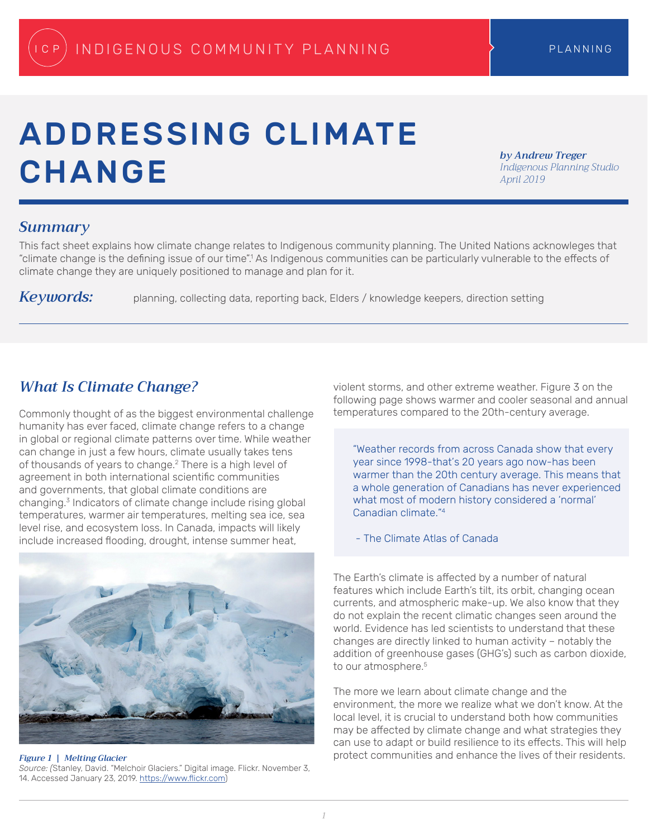# ADDRESSING CLIMATE **CHANGE**

*by Andrew Treger Indigenous Planning Studio April 2019*

## *Summary*

This fact sheet explains how climate change relates to Indigenous community planning. The United Nations acknowleges that "climate change is the defining issue of our time".<sup>1</sup> As Indigenous communities can be particularly vulnerable to the effects of climate change they are uniquely positioned to manage and plan for it.

Keywords: planning, collecting data, reporting back, Elders / knowledge keepers, direction setting

## *What Is Climate Change?*

Commonly thought of as the biggest environmental challenge humanity has ever faced, climate change refers to a change in global or regional climate patterns over time. While weather can change in just a few hours, climate usually takes tens of thousands of years to change.<sup>2</sup> There is a high level of agreement in both international scientific communities and governments, that global climate conditions are changing.3 Indicators of climate change include rising global temperatures, warmer air temperatures, melting sea ice, sea level rise, and ecosystem loss. In Canada, impacts will likely include increased flooding, drought, intense summer heat,



*Figure 1 | Melting Glacier*

*Source: (*Stanley, David. "Melchoir Glaciers." Digital image. Flickr. November 3, 14. Accessed January 23, 2019. <https://www.flickr.com>)

violent storms, and other extreme weather. Figure 3 on the following page shows warmer and cooler seasonal and annual temperatures compared to the 20th-century average.

"Weather records from across Canada show that every year since 1998-that's 20 years ago now-has been warmer than the 20th century average. This means that a whole generation of Canadians has never experienced what most of modern history considered a 'normal' Canadian climate."<sup>4</sup>

- The Climate Atlas of Canada

The Earth's climate is affected by a number of natural features which include Earth's tilt, its orbit, changing ocean currents, and atmospheric make-up. We also know that they do not explain the recent climatic changes seen around the world. Evidence has led scientists to understand that these changes are directly linked to human activity – notably the addition of greenhouse gases (GHG's) such as carbon dioxide, to our atmosphere.<sup>5</sup>

The more we learn about climate change and the environment, the more we realize what we don't know. At the local level, it is crucial to understand both how communities may be affected by climate change and what strategies they can use to adapt or build resilience to its effects. This will help protect communities and enhance the lives of their residents.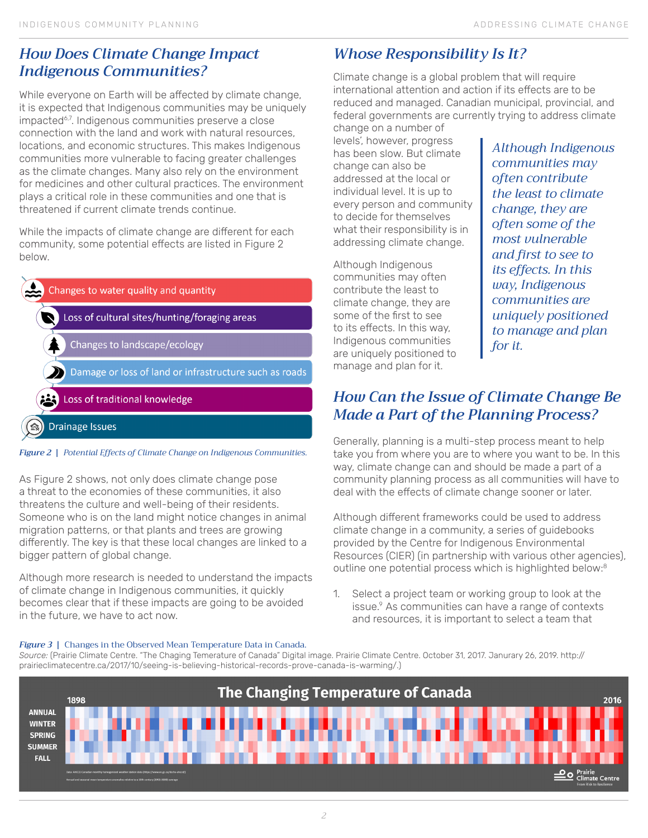## *How Does Climate Change Impact Indigenous Communities?*

While everyone on Earth will be affected by climate change, it is expected that Indigenous communities may be uniquely impacted<sup>6,7</sup>. Indigenous communities preserve a close connection with the land and work with natural resources, locations, and economic structures. This makes Indigenous communities more vulnerable to facing greater challenges as the climate changes. Many also rely on the environment for medicines and other cultural practices. The environment plays a critical role in these communities and one that is threatened if current climate trends continue.

While the impacts of climate change are different for each community, some potential effects are listed in Figure 2 below.

| Changes to water quality and quantity                  |
|--------------------------------------------------------|
| Loss of cultural sites/hunting/foraging areas          |
| Changes to landscape/ecology                           |
| Damage or loss of land or infrastructure such as roads |
| Loss of traditional knowledge                          |
| <b>Drainage Issues</b><br>ſr.                          |



As Figure 2 shows, not only does climate change pose a threat to the economies of these communities, it also threatens the culture and well-being of their residents. Someone who is on the land might notice changes in animal migration patterns, or that plants and trees are growing differently. The key is that these local changes are linked to a bigger pattern of global change.

Although more research is needed to understand the impacts of climate change in Indigenous communities, it quickly becomes clear that if these impacts are going to be avoided in the future, we have to act now.

# *Whose Responsibility Is It?*

Climate change is a global problem that will require international attention and action if its effects are to be reduced and managed. Canadian municipal, provincial, and federal governments are currently trying to address climate

change on a number of levels', however, progress has been slow. But climate change can also be addressed at the local or individual level. It is up to every person and community to decide for themselves what their responsibility is in addressing climate change.

Although Indigenous communities may often contribute the least to climate change, they are some of the first to see to its effects. In this way, Indigenous communities are uniquely positioned to manage and plan for it.

*Although Indigenous communities may often contribute the least to climate change, they are often some of the most vulnerable and first to see to its effects. In this way, Indigenous communities are uniquely positioned to manage and plan for it.*

## *How Can the Issue of Climate Change Be Made a Part of the Planning Process?*

Generally, planning is a multi-step process meant to help take you from where you are to where you want to be. In this way, climate change can and should be made a part of a community planning process as all communities will have to deal with the effects of climate change sooner or later.

Although different frameworks could be used to address climate change in a community, a series of guidebooks provided by the Centre for Indigenous Environmental Resources (CIER) (in partnership with various other agencies), outline one potential process which is highlighted below:<sup>8</sup>

1. Select a project team or working group to look at the issue.<sup>9</sup> As communities can have a range of contexts and resources, it is important to select a team that

#### *Figure 3 |* Changes in the Observed Mean Temperature Data in Canada.

*Source:* (Prairie Climate Centre. "The Chaging Temerature of Canada" Digital image. Prairie Climate Centre. October 31, 2017. Janurary 26, 2019. [http://](http://prairieclimatecentre.ca/2017/10/seeing-is-believing-historical-records-prove-canada-is-warming/.)) [prairieclimatecentre.ca/2017/10/seeing-is-believing-historical-records-prove-canada-is-warming/.\)](http://prairieclimatecentre.ca/2017/10/seeing-is-believing-historical-records-prove-canada-is-warming/.))

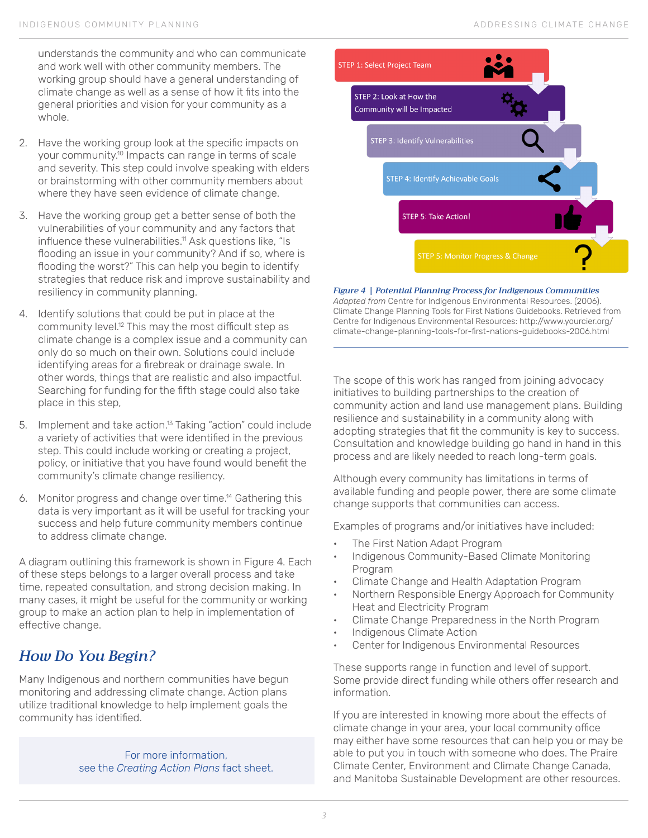understands the community and who can communicate and work well with other community members. The working group should have a general understanding of climate change as well as a sense of how it fits into the general priorities and vision for your community as a whole.

- 2. Have the working group look at the specific impacts on your community.10 Impacts can range in terms of scale and severity. This step could involve speaking with elders or brainstorming with other community members about where they have seen evidence of climate change.
- 3. Have the working group get a better sense of both the vulnerabilities of your community and any factors that influence these vulnerabilities.<sup>11</sup> Ask questions like, "Is flooding an issue in your community? And if so, where is flooding the worst?" This can help you begin to identify strategies that reduce risk and improve sustainability and resiliency in community planning.
- 4. Identify solutions that could be put in place at the community level.12 This may the most difficult step as climate change is a complex issue and a community can only do so much on their own. Solutions could include identifying areas for a firebreak or drainage swale. In other words, things that are realistic and also impactful. Searching for funding for the fifth stage could also take place in this step,
- 5. Implement and take action.<sup>13</sup> Taking "action" could include a variety of activities that were identified in the previous step. This could include working or creating a project, policy, or initiative that you have found would benefit the community's climate change resiliency.
- 6. Monitor progress and change over time.14 Gathering this data is very important as it will be useful for tracking your success and help future community members continue to address climate change.

A diagram outlining this framework is shown in Figure 4. Each of these steps belongs to a larger overall process and take time, repeated consultation, and strong decision making. In many cases, it might be useful for the community or working group to make an action plan to help in implementation of effective change.

# *How Do You Begin?*

Many Indigenous and northern communities have begun monitoring and addressing climate change. Action plans utilize traditional knowledge to help implement goals the community has identified.

> For more information, see the *Creating Action Plans* fact sheet.



*Figure 4 | Potential Planning Process for Indigenous Communities Adapted from* Centre for Indigenous Environmental Resources. (2006). Climate Change Planning Tools for First Nations Guidebooks. Retrieved from Centre for Indigenous Environmental Resources: [http://www.yourcier.org/](http://www.yourcier.org/climate-change-planning-tools-for-first-nations-guidebooks-2006.html) [climate-change-planning-tools-for-first-nations-guidebooks-2006.html](http://www.yourcier.org/climate-change-planning-tools-for-first-nations-guidebooks-2006.html)

The scope of this work has ranged from joining advocacy initiatives to building partnerships to the creation of community action and land use management plans. Building resilience and sustainability in a community along with adopting strategies that fit the community is key to success. Consultation and knowledge building go hand in hand in this process and are likely needed to reach long-term goals.

Although every community has limitations in terms of available funding and people power, there are some climate change supports that communities can access.

Examples of programs and/or initiatives have included:

- The First Nation Adapt Program
- Indigenous Community-Based Climate Monitoring Program
- Climate Change and Health Adaptation Program
- Northern Responsible Energy Approach for Community Heat and Electricity Program
- Climate Change Preparedness in the North Program
- Indigenous Climate Action
- Center for Indigenous Environmental Resources

These supports range in function and level of support. Some provide direct funding while others offer research and information.

If you are interested in knowing more about the effects of climate change in your area, your local community office may either have some resources that can help you or may be able to put you in touch with someone who does. The Praire Climate Center, Environment and Climate Change Canada, and Manitoba Sustainable Development are other resources.